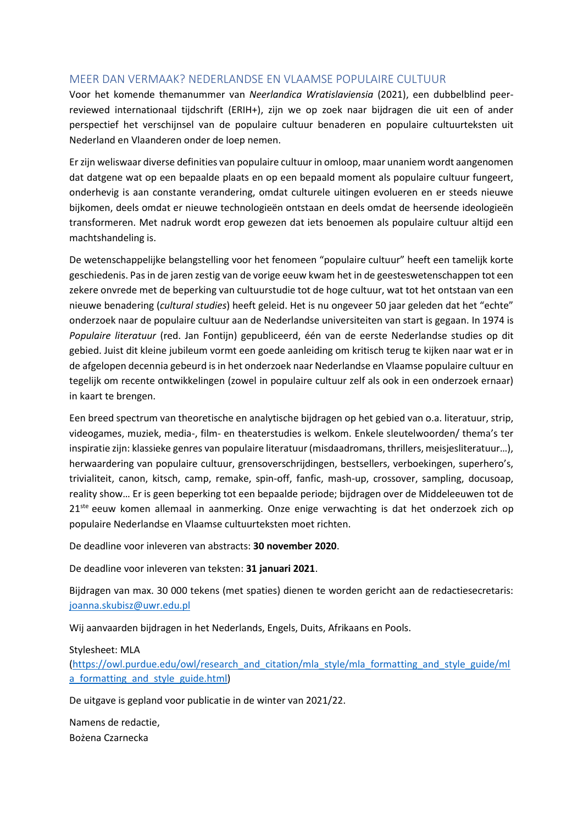## MEER DAN VERMAAK? NEDERLANDSE EN VLAAMSE POPULAIRE CULTUUR

Voor het komende themanummer van *Neerlandica Wratislaviensia* (2021), een dubbelblind peerreviewed internationaal tijdschrift (ERIH+), zijn we op zoek naar bijdragen die uit een of ander perspectief het verschijnsel van de populaire cultuur benaderen en populaire cultuurteksten uit Nederland en Vlaanderen onder de loep nemen.

Er zijn weliswaar diverse definities van populaire cultuur in omloop, maar unaniem wordt aangenomen dat datgene wat op een bepaalde plaats en op een bepaald moment als populaire cultuur fungeert, onderhevig is aan constante verandering, omdat culturele uitingen evolueren en er steeds nieuwe bijkomen, deels omdat er nieuwe technologieën ontstaan en deels omdat de heersende ideologieën transformeren. Met nadruk wordt erop gewezen dat iets benoemen als populaire cultuur altijd een machtshandeling is.

De wetenschappelijke belangstelling voor het fenomeen "populaire cultuur" heeft een tamelijk korte geschiedenis. Pas in de jaren zestig van de vorige eeuw kwam het in de geesteswetenschappen tot een zekere onvrede met de beperking van cultuurstudie tot de hoge cultuur, wat tot het ontstaan van een nieuwe benadering (*cultural studies*) heeft geleid. Het is nu ongeveer 50 jaar geleden dat het "echte" onderzoek naar de populaire cultuur aan de Nederlandse universiteiten van start is gegaan. In 1974 is *Populaire literatuur* (red. Jan Fontijn) gepubliceerd, één van de eerste Nederlandse studies op dit gebied. Juist dit kleine jubileum vormt een goede aanleiding om kritisch terug te kijken naar wat er in de afgelopen decennia gebeurd is in het onderzoek naar Nederlandse en Vlaamse populaire cultuur en tegelijk om recente ontwikkelingen (zowel in populaire cultuur zelf als ook in een onderzoek ernaar) in kaart te brengen.

Een breed spectrum van theoretische en analytische bijdragen op het gebied van o.a. literatuur, strip, videogames, muziek, media-, film- en theaterstudies is welkom. Enkele sleutelwoorden/ thema's ter inspiratie zijn: klassieke genres van populaire literatuur (misdaadromans, thrillers, meisjesliteratuur…), herwaardering van populaire cultuur, grensoverschrijdingen, bestsellers, verboekingen, superhero's, trivialiteit, canon, kitsch, camp, remake, spin-off, fanfic, mash-up, crossover, sampling, docusoap, reality show… Er is geen beperking tot een bepaalde periode; bijdragen over de Middeleeuwen tot de 21<sup>ste</sup> eeuw komen allemaal in aanmerking. Onze enige verwachting is dat het onderzoek zich op populaire Nederlandse en Vlaamse cultuurteksten moet richten.

De deadline voor inleveren van abstracts: **30 november 2020**.

De deadline voor inleveren van teksten: **31 januari 2021**.

Bijdragen van max. 30 000 tekens (met spaties) dienen te worden gericht aan de redactiesecretaris: [joanna.skubisz@uwr.edu.pl](mailto:joanna.skubisz@uwr.edu.pl)

Wij aanvaarden bijdragen in het Nederlands, Engels, Duits, Afrikaans en Pools.

## Stylesheet: MLA

[\(https://owl.purdue.edu/owl/research\\_and\\_citation/mla\\_style/mla\\_formatting\\_and\\_style\\_guide/ml](https://owl.purdue.edu/owl/research_and_citation/mla_style/mla_formatting_and_style_guide/mla_formatting_and_style_guide.html) a formatting and style guide.html)

De uitgave is gepland voor publicatie in de winter van 2021/22.

Namens de redactie, Bożena Czarnecka